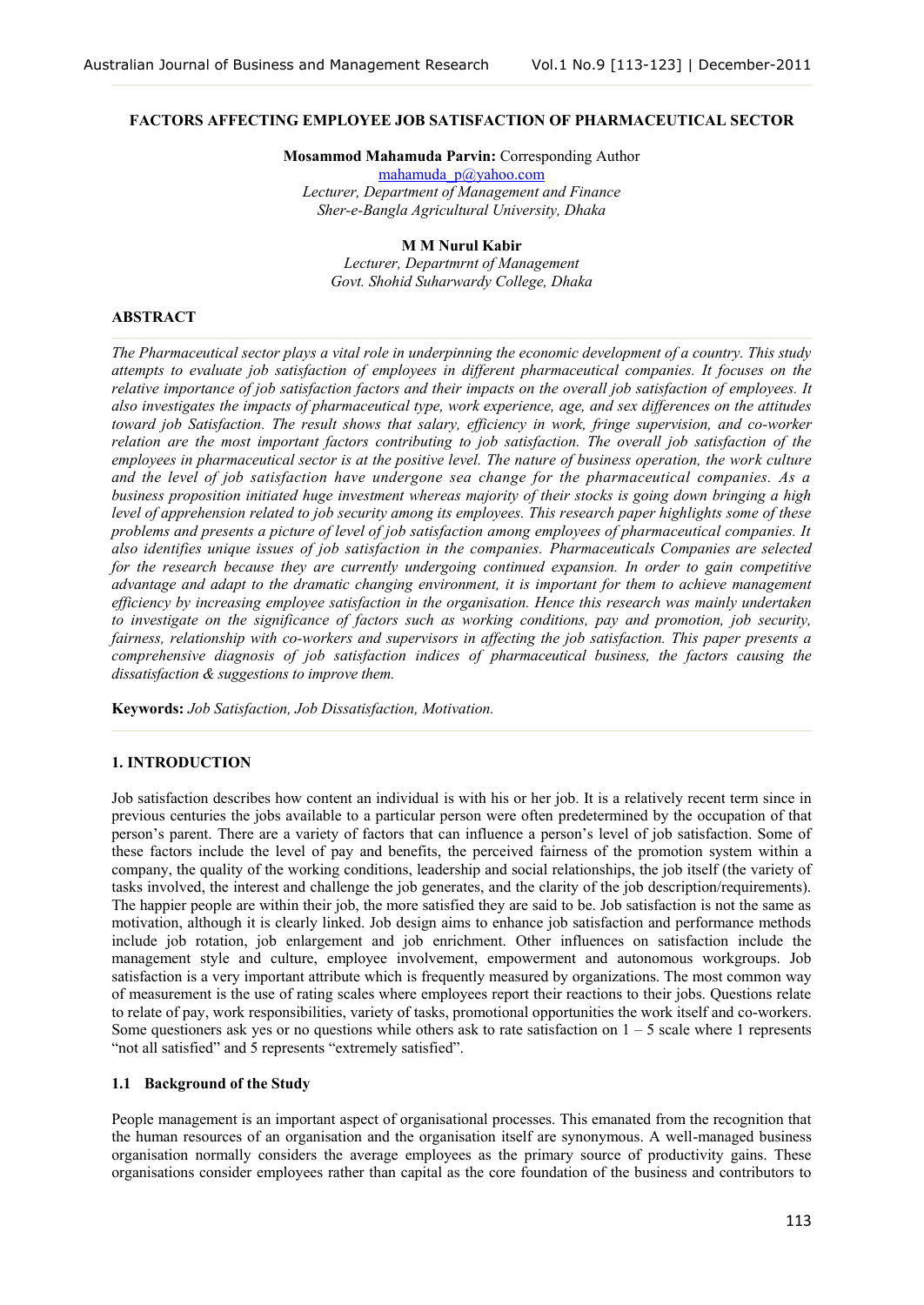## **FACTORS AFFECTING EMPLOYEE JOB SATISFACTION OF PHARMACEUTICAL SECTOR**

**Mosammod Mahamuda Parvin:** Corresponding Author

[mahamuda\\_p@yahoo.com](mailto:mahamuda_p@yahoo.com) *Lecturer, Department of Management and Finance Sher-e-Bangla Agricultural University, Dhaka*

# **M M Nurul Kabir**

*Lecturer, Departmrnt of Management Govt. Shohid Suharwardy College, Dhaka*

# **ABSTRACT**

*The Pharmaceutical sector plays a vital role in underpinning the economic development of a country. This study attempts to evaluate job satisfaction of employees in different pharmaceutical companies. It focuses on the relative importance of job satisfaction factors and their impacts on the overall job satisfaction of employees. It also investigates the impacts of pharmaceutical type, work experience, age, and sex differences on the attitudes toward job Satisfaction. The result shows that salary, efficiency in work, fringe supervision, and co-worker relation are the most important factors contributing to job satisfaction. The overall job satisfaction of the employees in pharmaceutical sector is at the positive level. The nature of business operation, the work culture and the level of job satisfaction have undergone sea change for the pharmaceutical companies. As a business proposition initiated huge investment whereas majority of their stocks is going down bringing a high level of apprehension related to job security among its employees. This research paper highlights some of these problems and presents a picture of level of job satisfaction among employees of pharmaceutical companies. It also identifies unique issues of job satisfaction in the companies. Pharmaceuticals Companies are selected for the research because they are currently undergoing continued expansion. In order to gain competitive advantage and adapt to the dramatic changing environment, it is important for them to achieve management efficiency by increasing employee satisfaction in the organisation. Hence this research was mainly undertaken to investigate on the significance of factors such as working conditions, pay and promotion, job security, fairness, relationship with co-workers and supervisors in affecting the job satisfaction. This paper presents a comprehensive diagnosis of job satisfaction indices of pharmaceutical business, the factors causing the dissatisfaction & suggestions to improve them.*

**Keywords:** *Job Satisfaction, Job Dissatisfaction, Motivation.*

# **1. INTRODUCTION**

Job satisfaction describes how content an individual is with his or her job. It is a relatively recent term since in previous centuries the jobs available to a particular person were often predetermined by the occupation of that person's parent. There are a variety of factors that can influence a person's level of job satisfaction. Some of these factors include the level of pay and benefits, the perceived fairness of the promotion system within a company, the quality of the working conditions, leadership and social relationships, the job itself (the variety of tasks involved, the interest and challenge the job generates, and the clarity of the job description/requirements). The happier people are within their job, the more satisfied they are said to be. Job satisfaction is not the same as motivation, although it is clearly linked. Job design aims to enhance job satisfaction and performance methods include job rotation, job enlargement and job enrichment. Other influences on satisfaction include the management style and culture, employee involvement, empowerment and autonomous workgroups. Job satisfaction is a very important attribute which is frequently measured by organizations. The most common way of measurement is the use of rating scales where employees report their reactions to their jobs. Questions relate to relate of pay, work responsibilities, variety of tasks, promotional opportunities the work itself and co-workers. Some questioners ask yes or no questions while others ask to rate satisfaction on  $1 - 5$  scale where 1 represents "not all satisfied" and 5 represents "extremely satisfied".

# **1.1 Background of the Study**

People management is an important aspect of organisational processes. This emanated from the recognition that the human resources of an organisation and the organisation itself are synonymous. A well-managed business organisation normally considers the average employees as the primary source of productivity gains. These organisations consider employees rather than capital as the core foundation of the business and contributors to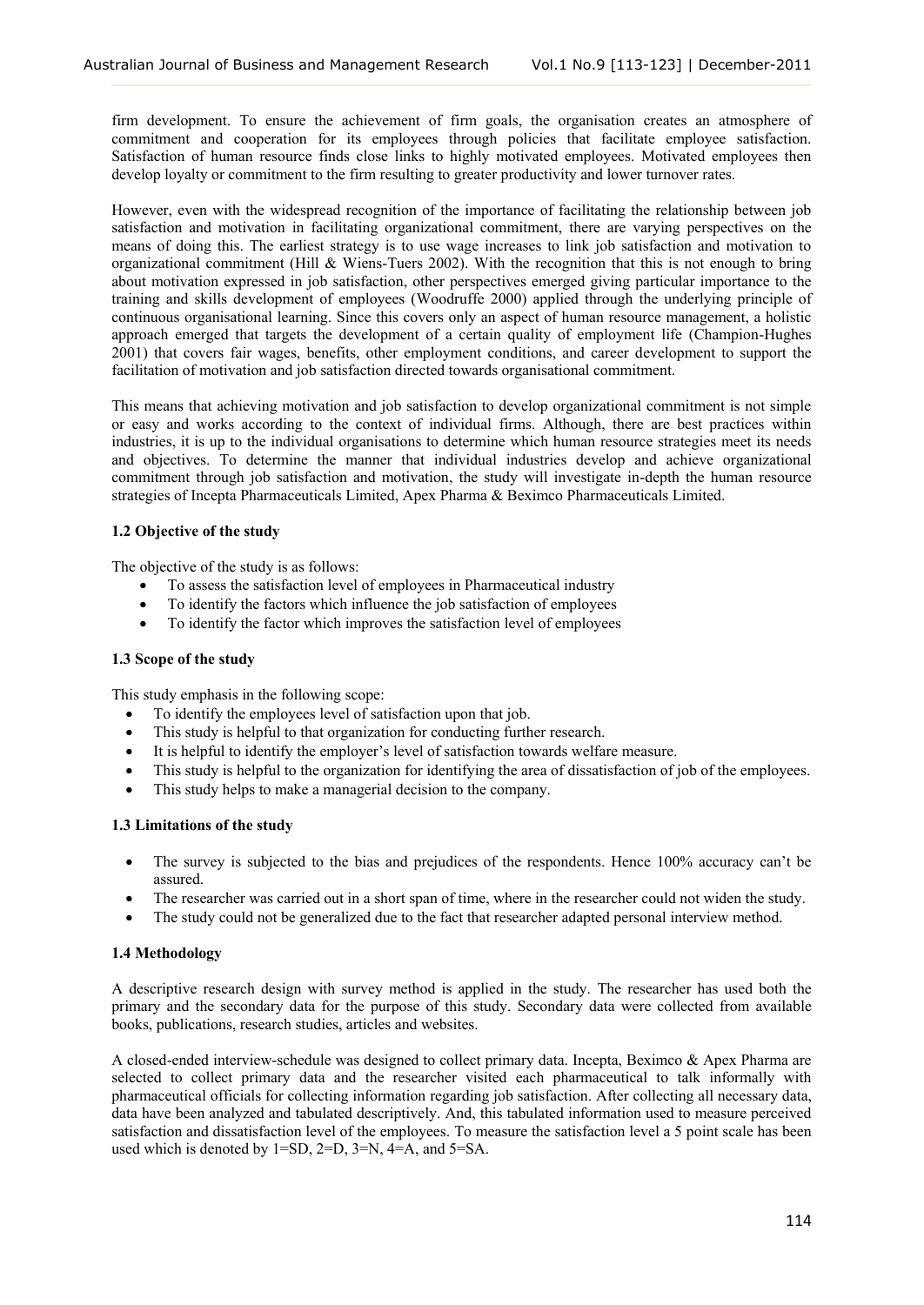firm development. To ensure the achievement of firm goals, the organisation creates an atmosphere of commitment and cooperation for its employees through policies that facilitate employee satisfaction. Satisfaction of human resource finds close links to highly motivated employees. Motivated employees then develop loyalty or commitment to the firm resulting to greater productivity and lower turnover rates.

However, even with the widespread recognition of the importance of facilitating the relationship between job satisfaction and motivation in facilitating organizational commitment, there are varying perspectives on the means of doing this. The earliest strategy is to use wage increases to link job satisfaction and motivation to organizational commitment (Hill & Wiens-Tuers 2002). With the recognition that this is not enough to bring about motivation expressed in job satisfaction, other perspectives emerged giving particular importance to the training and skills development of employees (Woodruffe 2000) applied through the underlying principle of continuous organisational learning. Since this covers only an aspect of human resource management, a holistic approach emerged that targets the development of a certain quality of employment life (Champion-Hughes 2001) that covers fair wages, benefits, other employment conditions, and career development to support the facilitation of motivation and job satisfaction directed towards organisational commitment.

This means that achieving motivation and job satisfaction to develop organizational commitment is not simple or easy and works according to the context of individual firms. Although, there are best practices within industries, it is up to the individual organisations to determine which human resource strategies meet its needs and objectives. To determine the manner that individual industries develop and achieve organizational commitment through job satisfaction and motivation, the study will investigate in-depth the human resource strategies of Incepta Pharmaceuticals Limited, Apex Pharma & Beximco Pharmaceuticals Limited.

# **1.2 Objective of the study**

The objective of the study is as follows:

- To assess the satisfaction level of employees in Pharmaceutical industry
- To identify the factors which influence the job satisfaction of employees
- To identify the factor which improves the satisfaction level of employees

### **1.3 Scope of the study**

This study emphasis in the following scope:

- To identify the employees level of satisfaction upon that job.
- This study is helpful to that organization for conducting further research.
- It is helpful to identify the employer's level of satisfaction towards welfare measure.
- This study is helpful to the organization for identifying the area of dissatisfaction of job of the employees.
- This study helps to make a managerial decision to the company.

### **1.3 Limitations of the study**

- The survey is subjected to the bias and prejudices of the respondents. Hence 100% accuracy can't be assured.
- The researcher was carried out in a short span of time, where in the researcher could not widen the study.
- The study could not be generalized due to the fact that researcher adapted personal interview method.

## **1.4 Methodology**

A descriptive research design with survey method is applied in the study. The researcher has used both the primary and the secondary data for the purpose of this study. Secondary data were collected from available books, publications, research studies, articles and websites.

A closed-ended interview-schedule was designed to collect primary data. Incepta, Beximco & Apex Pharma are selected to collect primary data and the researcher visited each pharmaceutical to talk informally with pharmaceutical officials for collecting information regarding job satisfaction. After collecting all necessary data, data have been analyzed and tabulated descriptively. And, this tabulated information used to measure perceived satisfaction and dissatisfaction level of the employees. To measure the satisfaction level a 5 point scale has been used which is denoted by 1=SD, 2=D, 3=N, 4=A, and 5=SA.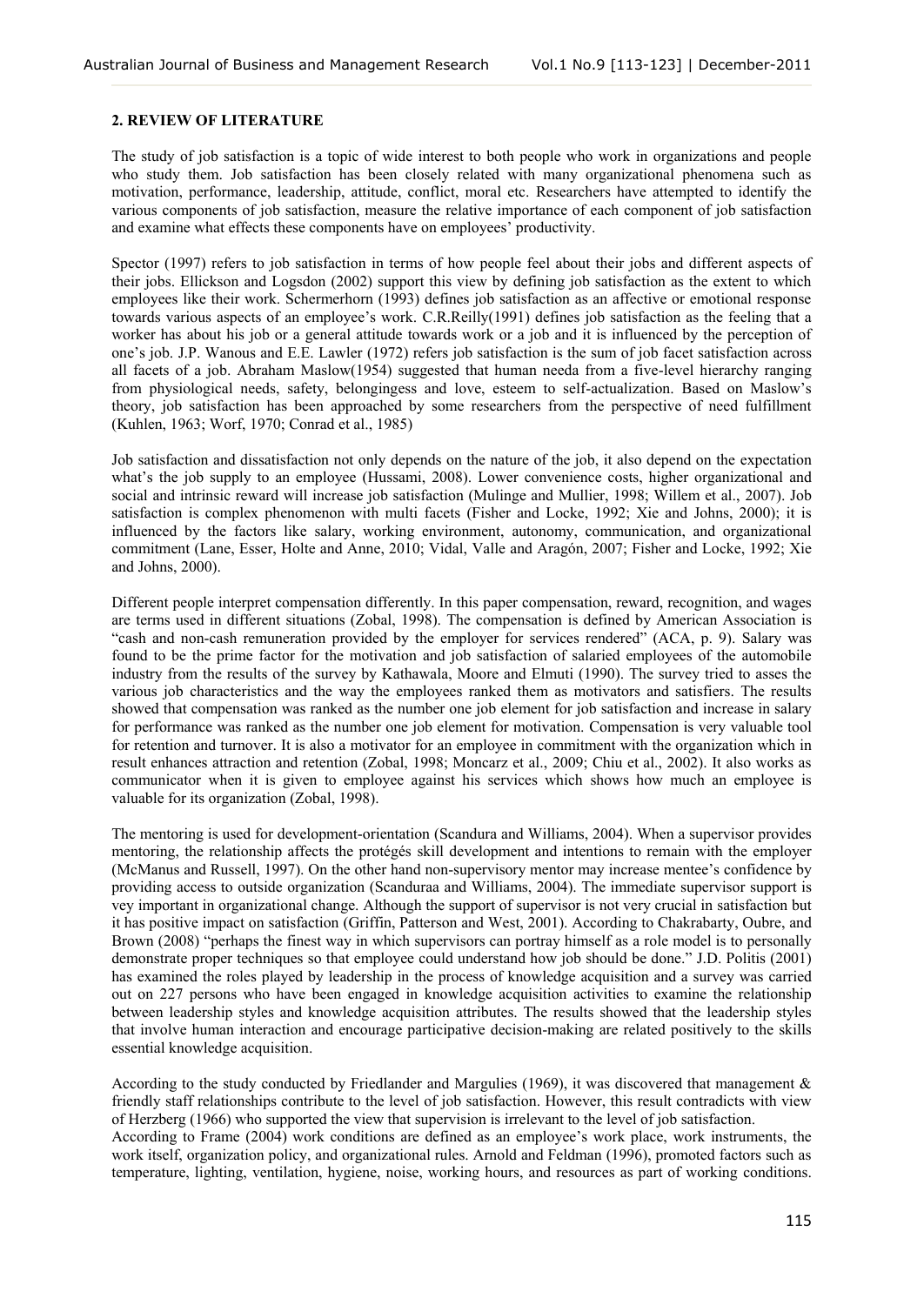## **2. REVIEW OF LITERATURE**

The study of job satisfaction is a topic of wide interest to both people who work in organizations and people who study them. Job satisfaction has been closely related with many organizational phenomena such as motivation, performance, leadership, attitude, conflict, moral etc. Researchers have attempted to identify the various components of job satisfaction, measure the relative importance of each component of job satisfaction and examine what effects these components have on employees' productivity.

Spector (1997) refers to job satisfaction in terms of how people feel about their jobs and different aspects of their jobs. Ellickson and Logsdon (2002) support this view by defining job satisfaction as the extent to which employees like their work. Schermerhorn (1993) defines job satisfaction as an affective or emotional response towards various aspects of an employee's work. C.R.Reilly(1991) defines job satisfaction as the feeling that a worker has about his job or a general attitude towards work or a job and it is influenced by the perception of one's job. J.P. Wanous and E.E. Lawler (1972) refers job satisfaction is the sum of job facet satisfaction across all facets of a job. Abraham Maslow(1954) suggested that human needa from a five-level hierarchy ranging from physiological needs, safety, belongingess and love, esteem to self-actualization. Based on Maslow's theory, job satisfaction has been approached by some researchers from the perspective of need fulfillment (Kuhlen, 1963; Worf, 1970; Conrad et al., 1985)

Job satisfaction and dissatisfaction not only depends on the nature of the job, it also depend on the expectation what's the job supply to an employee (Hussami, 2008). Lower convenience costs, higher organizational and social and intrinsic reward will increase job satisfaction (Mulinge and Mullier, 1998; Willem et al., 2007). Job satisfaction is complex phenomenon with multi facets (Fisher and Locke, 1992; Xie and Johns, 2000); it is influenced by the factors like salary, working environment, autonomy, communication, and organizational commitment (Lane, Esser, Holte and Anne, 2010; Vidal, Valle and Aragón, 2007; Fisher and Locke, 1992; Xie and Johns, 2000).

Different people interpret compensation differently. In this paper compensation, reward, recognition, and wages are terms used in different situations (Zobal, 1998). The compensation is defined by American Association is "cash and non-cash remuneration provided by the employer for services rendered" (ACA, p. 9). Salary was found to be the prime factor for the motivation and job satisfaction of salaried employees of the automobile industry from the results of the survey by Kathawala, Moore and Elmuti (1990). The survey tried to asses the various job characteristics and the way the employees ranked them as motivators and satisfiers. The results showed that compensation was ranked as the number one job element for job satisfaction and increase in salary for performance was ranked as the number one job element for motivation. Compensation is very valuable tool for retention and turnover. It is also a motivator for an employee in commitment with the organization which in result enhances attraction and retention (Zobal, 1998; Moncarz et al., 2009; Chiu et al., 2002). It also works as communicator when it is given to employee against his services which shows how much an employee is valuable for its organization (Zobal, 1998).

The mentoring is used for development-orientation (Scandura and Williams, 2004). When a supervisor provides mentoring, the relationship affects the protégés skill development and intentions to remain with the employer (McManus and Russell, 1997). On the other hand non-supervisory mentor may increase mentee's confidence by providing access to outside organization (Scanduraa and Williams, 2004). The immediate supervisor support is vey important in organizational change. Although the support of supervisor is not very crucial in satisfaction but it has positive impact on satisfaction (Griffin, Patterson and West, 2001). According to Chakrabarty, Oubre, and Brown (2008) "perhaps the finest way in which supervisors can portray himself as a role model is to personally demonstrate proper techniques so that employee could understand how job should be done." J.D. Politis (2001) has examined the roles played by leadership in the process of knowledge acquisition and a survey was carried out on 227 persons who have been engaged in knowledge acquisition activities to examine the relationship between leadership styles and knowledge acquisition attributes. The results showed that the leadership styles that involve human interaction and encourage participative decision-making are related positively to the skills essential knowledge acquisition.

According to the study conducted by Friedlander and Margulies (1969), it was discovered that management & friendly staff relationships contribute to the level of job satisfaction. However, this result contradicts with view of Herzberg (1966) who supported the view that supervision is irrelevant to the level of job satisfaction. According to Frame (2004) work conditions are defined as an employee's work place, work instruments, the work itself, organization policy, and organizational rules. Arnold and Feldman (1996), promoted factors such as temperature, lighting, ventilation, hygiene, noise, working hours, and resources as part of working conditions.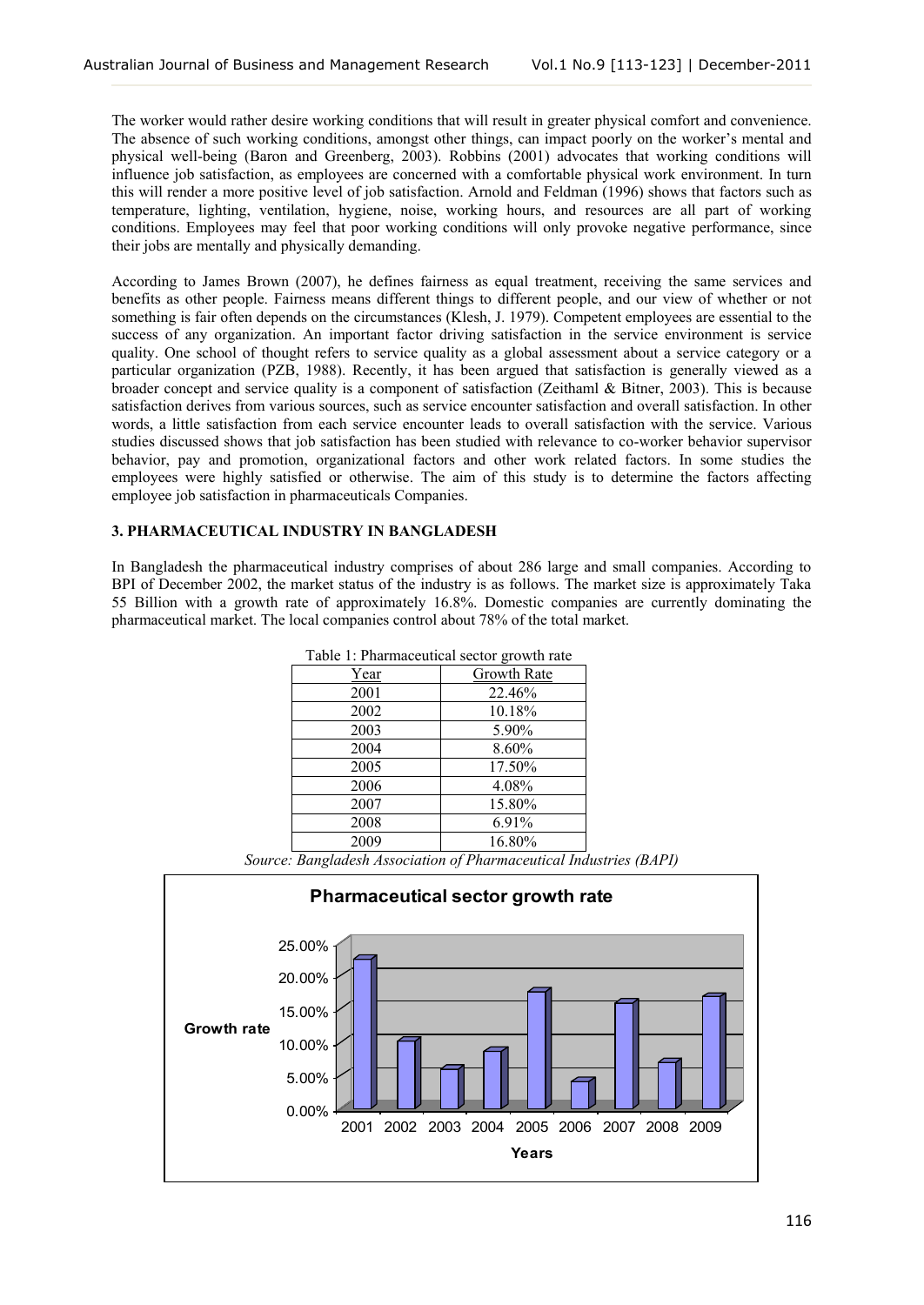The worker would rather desire working conditions that will result in greater physical comfort and convenience. The absence of such working conditions, amongst other things, can impact poorly on the worker's mental and physical well-being (Baron and Greenberg, 2003). Robbins (2001) advocates that working conditions will influence job satisfaction, as employees are concerned with a comfortable physical work environment. In turn this will render a more positive level of job satisfaction. Arnold and Feldman (1996) shows that factors such as temperature, lighting, ventilation, hygiene, noise, working hours, and resources are all part of working conditions. Employees may feel that poor working conditions will only provoke negative performance, since their jobs are mentally and physically demanding.

According to James Brown (2007), he defines fairness as equal treatment, receiving the same services and benefits as other people. Fairness means different things to different people, and our view of whether or not something is fair often depends on the circumstances (Klesh, J. 1979). Competent employees are essential to the success of any organization. An important factor driving satisfaction in the service environment is service quality. One school of thought refers to service quality as a global assessment about a service category or a particular organization (PZB, 1988). Recently, it has been argued that satisfaction is generally viewed as a broader concept and service quality is a component of satisfaction (Zeithaml & Bitner, 2003). This is because satisfaction derives from various sources, such as service encounter satisfaction and overall satisfaction. In other words, a little satisfaction from each service encounter leads to overall satisfaction with the service. Various studies discussed shows that job satisfaction has been studied with relevance to co-worker behavior supervisor behavior, pay and promotion, organizational factors and other work related factors. In some studies the employees were highly satisfied or otherwise. The aim of this study is to determine the factors affecting employee job satisfaction in pharmaceuticals Companies.

## **3. PHARMACEUTICAL INDUSTRY IN BANGLADESH**

In Bangladesh the pharmaceutical industry comprises of about 286 large and small companies. According to BPI of December 2002, the market status of the industry is as follows. The market size is approximately Taka 55 Billion with a growth rate of approximately 16.8%. Domestic companies are currently dominating the pharmaceutical market. The local companies control about 78% of the total market.

| Table 1: Pharmaceutical sector growth rate |                    |  |  |  |
|--------------------------------------------|--------------------|--|--|--|
| <u>Year</u>                                | <b>Growth Rate</b> |  |  |  |
| 2001                                       | 22.46%             |  |  |  |
| 2002                                       | 10.18%             |  |  |  |
| 2003                                       | 5.90%              |  |  |  |
| 2004                                       | 8.60%              |  |  |  |
| 2005                                       | 17.50%             |  |  |  |
| 2006                                       | 4.08%              |  |  |  |
| 2007                                       | 15.80%             |  |  |  |
| 2008                                       | 6.91%              |  |  |  |
| 2009                                       | 16.80%             |  |  |  |

*Source: Bangladesh Association of Pharmaceutical Industries (BAPI)*

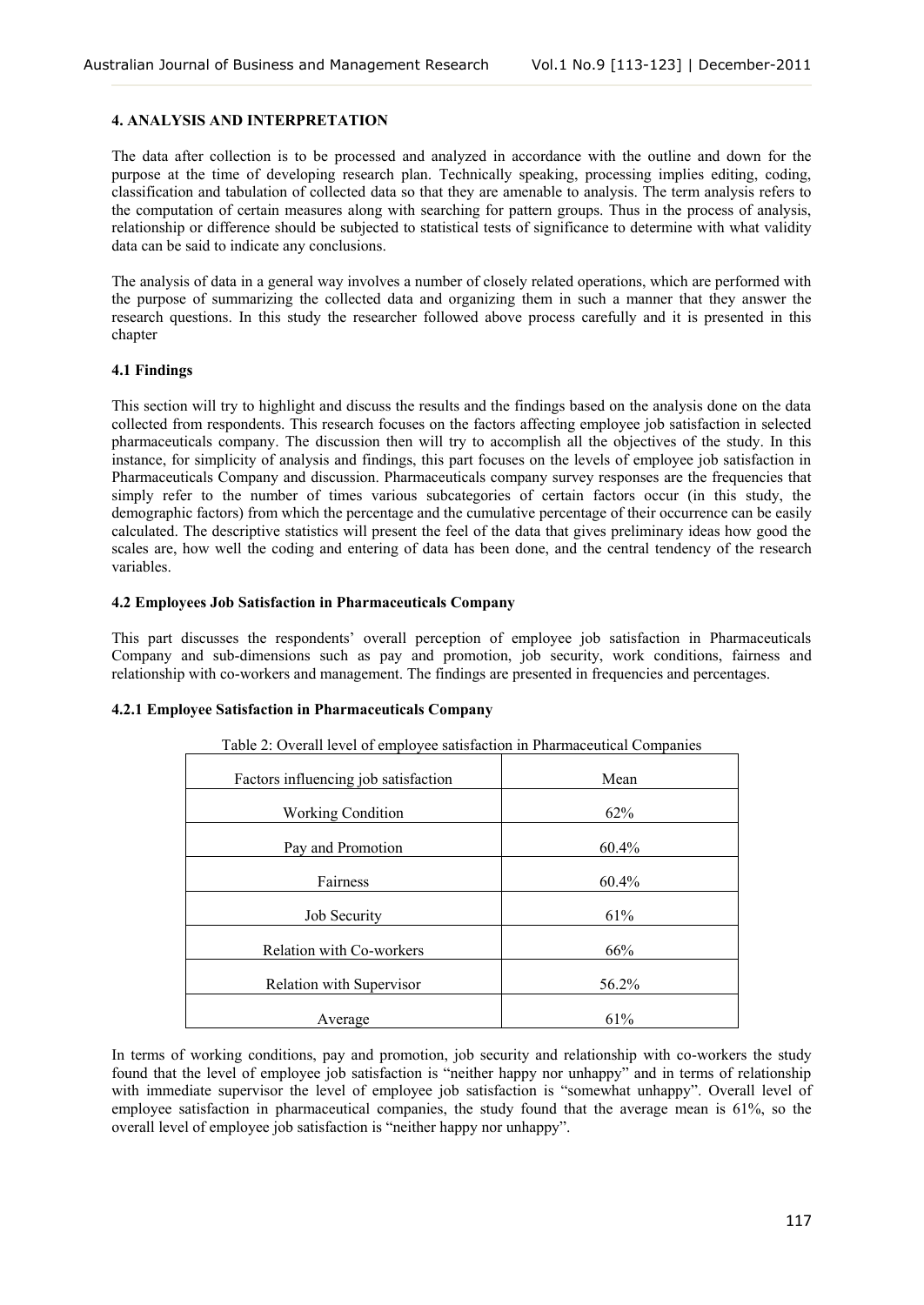## **4. ANALYSIS AND INTERPRETATION**

The data after collection is to be processed and analyzed in accordance with the outline and down for the purpose at the time of developing research plan. Technically speaking, processing implies editing, coding, classification and tabulation of collected data so that they are amenable to analysis. The term analysis refers to the computation of certain measures along with searching for pattern groups. Thus in the process of analysis, relationship or difference should be subjected to statistical tests of significance to determine with what validity data can be said to indicate any conclusions.

The analysis of data in a general way involves a number of closely related operations, which are performed with the purpose of summarizing the collected data and organizing them in such a manner that they answer the research questions. In this study the researcher followed above process carefully and it is presented in this chapter

# **4.1 Findings**

This section will try to highlight and discuss the results and the findings based on the analysis done on the data collected from respondents. This research focuses on the factors affecting employee job satisfaction in selected pharmaceuticals company. The discussion then will try to accomplish all the objectives of the study. In this instance, for simplicity of analysis and findings, this part focuses on the levels of employee job satisfaction in Pharmaceuticals Company and discussion. Pharmaceuticals company survey responses are the frequencies that simply refer to the number of times various subcategories of certain factors occur (in this study, the demographic factors) from which the percentage and the cumulative percentage of their occurrence can be easily calculated. The descriptive statistics will present the feel of the data that gives preliminary ideas how good the scales are, how well the coding and entering of data has been done, and the central tendency of the research variables.

# **4.2 Employees Job Satisfaction in Pharmaceuticals Company**

This part discusses the respondents' overall perception of employee job satisfaction in Pharmaceuticals Company and sub-dimensions such as pay and promotion, job security, work conditions, fairness and relationship with co-workers and management. The findings are presented in frequencies and percentages.

## **4.2.1 Employee Satisfaction in Pharmaceuticals Company**

| Table 2. Overall level of employee sausfaction in Pharmaceutical Companies |          |  |  |  |
|----------------------------------------------------------------------------|----------|--|--|--|
| Factors influencing job satisfaction                                       | Mean     |  |  |  |
| <b>Working Condition</b>                                                   | 62%      |  |  |  |
| Pay and Promotion                                                          | $60.4\%$ |  |  |  |
| Fairness                                                                   | 60.4%    |  |  |  |
| <b>Job Security</b>                                                        | 61%      |  |  |  |
| <b>Relation with Co-workers</b>                                            | 66%      |  |  |  |
| <b>Relation with Supervisor</b>                                            | 56.2%    |  |  |  |
| Average                                                                    | 61%      |  |  |  |

Table 2: Overall level of employee satisfaction in Pharmaceutical Companies

In terms of working conditions, pay and promotion, job security and relationship with co-workers the study found that the level of employee job satisfaction is "neither happy nor unhappy" and in terms of relationship with immediate supervisor the level of employee job satisfaction is "somewhat unhappy". Overall level of employee satisfaction in pharmaceutical companies, the study found that the average mean is 61%, so the overall level of employee job satisfaction is "neither happy nor unhappy".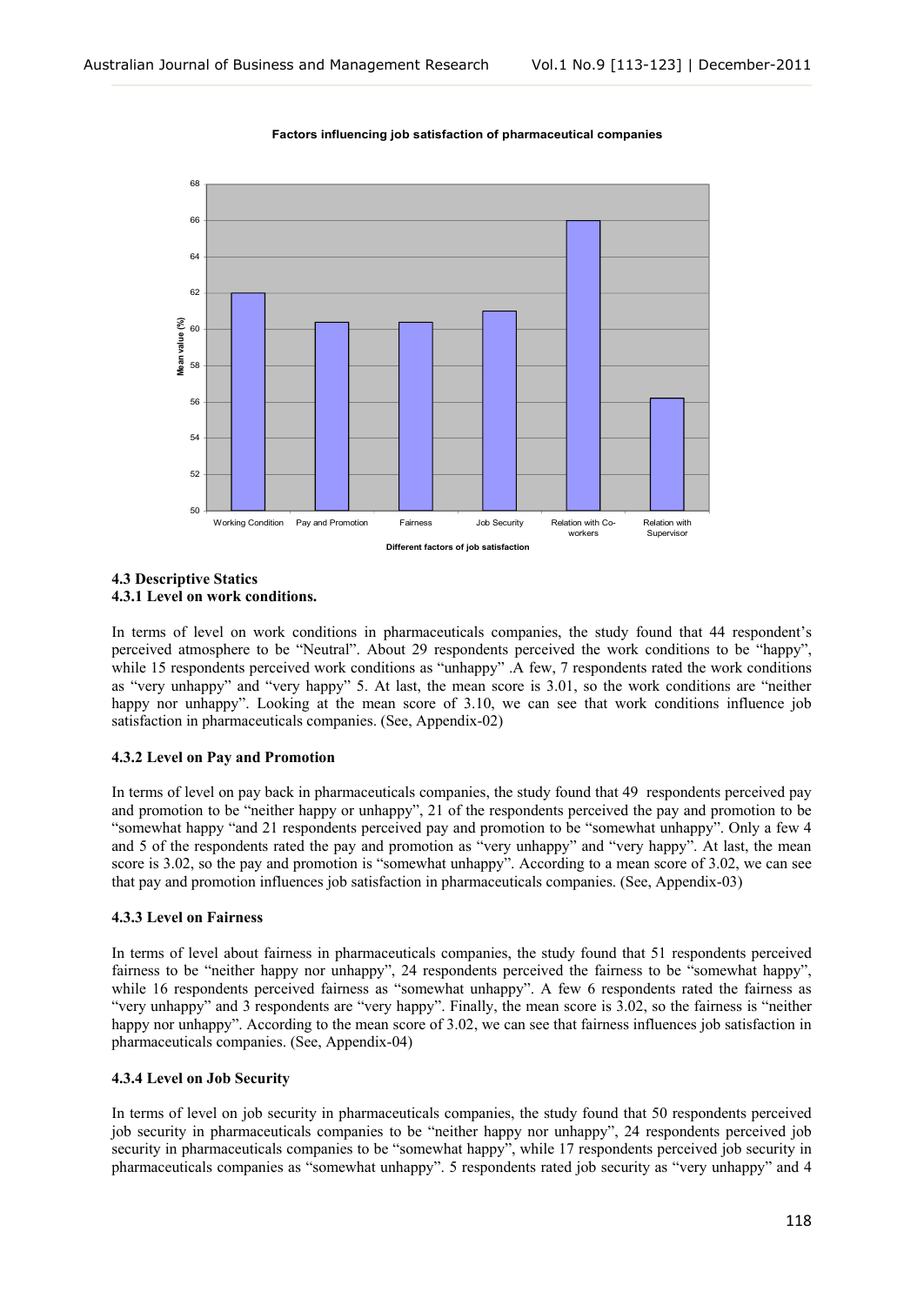

#### **Factors influencing job satisfaction of pharmaceutical companies**

## **4.3 Descriptive Statics 4.3.1 Level on work conditions.**

In terms of level on work conditions in pharmaceuticals companies, the study found that 44 respondent's perceived atmosphere to be "Neutral". About 29 respondents perceived the work conditions to be "happy", while 15 respondents perceived work conditions as "unhappy" .A few, 7 respondents rated the work conditions as "very unhappy" and "very happy" 5. At last, the mean score is 3.01, so the work conditions are "neither happy nor unhappy". Looking at the mean score of 3.10, we can see that work conditions influence job satisfaction in pharmaceuticals companies. (See, Appendix-02)

# **4.3.2 Level on Pay and Promotion**

In terms of level on pay back in pharmaceuticals companies, the study found that 49 respondents perceived pay and promotion to be "neither happy or unhappy", 21 of the respondents perceived the pay and promotion to be "somewhat happy "and 21 respondents perceived pay and promotion to be "somewhat unhappy". Only a few 4 and 5 of the respondents rated the pay and promotion as "very unhappy" and "very happy". At last, the mean score is 3.02, so the pay and promotion is "somewhat unhappy". According to a mean score of 3.02, we can see that pay and promotion influences job satisfaction in pharmaceuticals companies. (See, Appendix-03)

#### **4.3.3 Level on Fairness**

In terms of level about fairness in pharmaceuticals companies, the study found that 51 respondents perceived fairness to be "neither happy nor unhappy", 24 respondents perceived the fairness to be "somewhat happy", while 16 respondents perceived fairness as "somewhat unhappy". A few 6 respondents rated the fairness as "very unhappy" and 3 respondents are "very happy". Finally, the mean score is 3.02, so the fairness is "neither happy nor unhappy". According to the mean score of 3.02, we can see that fairness influences job satisfaction in pharmaceuticals companies. (See, Appendix-04)

#### **4.3.4 Level on Job Security**

In terms of level on job security in pharmaceuticals companies, the study found that 50 respondents perceived job security in pharmaceuticals companies to be "neither happy nor unhappy", 24 respondents perceived job security in pharmaceuticals companies to be "somewhat happy", while 17 respondents perceived job security in pharmaceuticals companies as "somewhat unhappy". 5 respondents rated job security as "very unhappy" and 4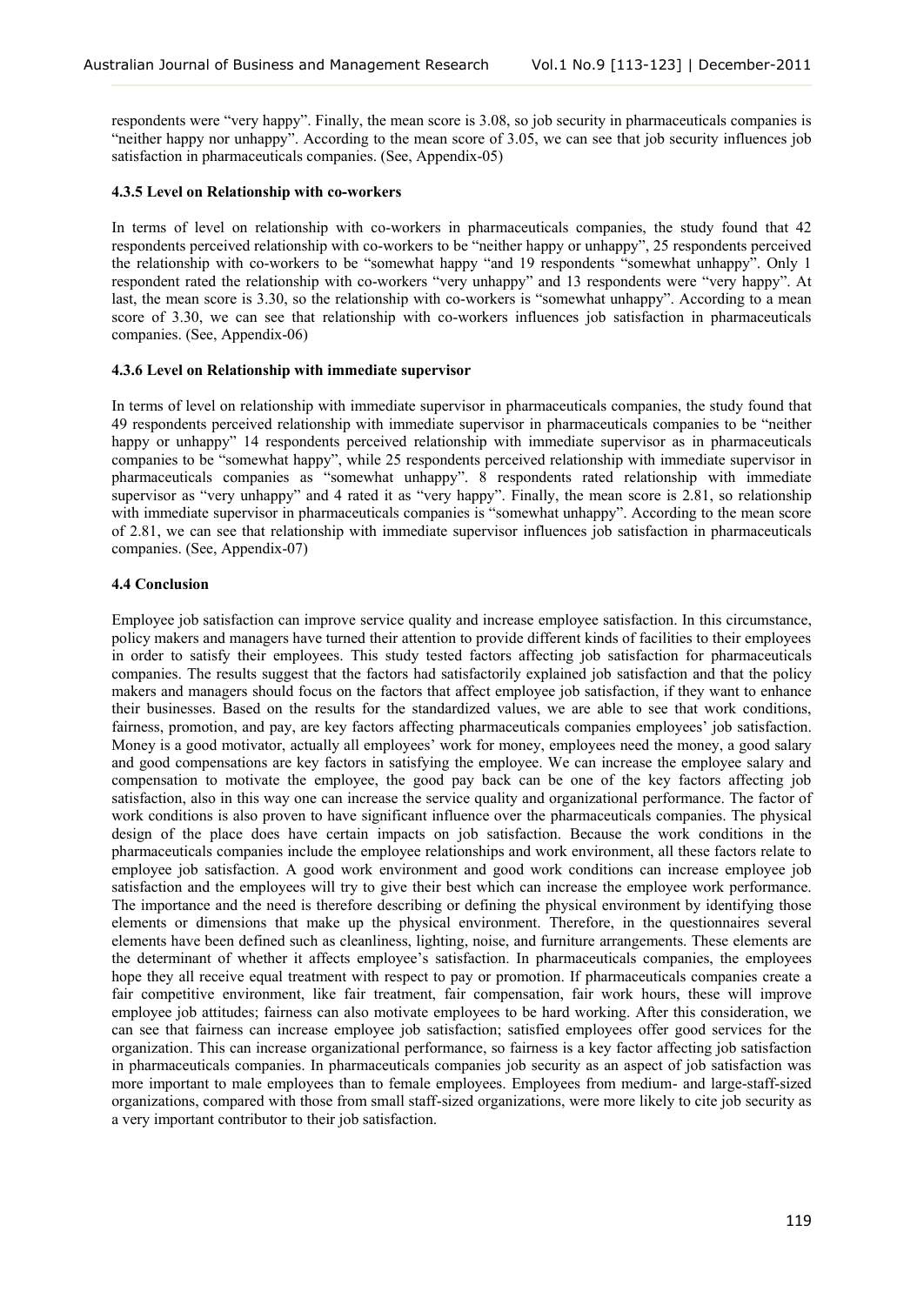respondents were "very happy". Finally, the mean score is 3.08, so job security in pharmaceuticals companies is "neither happy nor unhappy". According to the mean score of 3.05, we can see that job security influences job satisfaction in pharmaceuticals companies. (See, Appendix-05)

### **4.3.5 Level on Relationship with co-workers**

In terms of level on relationship with co-workers in pharmaceuticals companies, the study found that 42 respondents perceived relationship with co-workers to be "neither happy or unhappy", 25 respondents perceived the relationship with co-workers to be "somewhat happy "and 19 respondents "somewhat unhappy". Only 1 respondent rated the relationship with co-workers "very unhappy" and 13 respondents were "very happy". At last, the mean score is 3.30, so the relationship with co-workers is "somewhat unhappy". According to a mean score of 3.30, we can see that relationship with co-workers influences job satisfaction in pharmaceuticals companies. (See, Appendix-06)

## **4.3.6 Level on Relationship with immediate supervisor**

In terms of level on relationship with immediate supervisor in pharmaceuticals companies, the study found that 49 respondents perceived relationship with immediate supervisor in pharmaceuticals companies to be "neither happy or unhappy" 14 respondents perceived relationship with immediate supervisor as in pharmaceuticals companies to be "somewhat happy", while 25 respondents perceived relationship with immediate supervisor in pharmaceuticals companies as "somewhat unhappy". 8 respondents rated relationship with immediate supervisor as "very unhappy" and 4 rated it as "very happy". Finally, the mean score is 2.81, so relationship with immediate supervisor in pharmaceuticals companies is "somewhat unhappy". According to the mean score of 2.81, we can see that relationship with immediate supervisor influences job satisfaction in pharmaceuticals companies. (See, Appendix-07)

## **4.4 Conclusion**

Employee job satisfaction can improve service quality and increase employee satisfaction. In this circumstance, policy makers and managers have turned their attention to provide different kinds of facilities to their employees in order to satisfy their employees. This study tested factors affecting job satisfaction for pharmaceuticals companies. The results suggest that the factors had satisfactorily explained job satisfaction and that the policy makers and managers should focus on the factors that affect employee job satisfaction, if they want to enhance their businesses. Based on the results for the standardized values, we are able to see that work conditions, fairness, promotion, and pay, are key factors affecting pharmaceuticals companies employees' job satisfaction. Money is a good motivator, actually all employees' work for money, employees need the money, a good salary and good compensations are key factors in satisfying the employee. We can increase the employee salary and compensation to motivate the employee, the good pay back can be one of the key factors affecting job satisfaction, also in this way one can increase the service quality and organizational performance. The factor of work conditions is also proven to have significant influence over the pharmaceuticals companies. The physical design of the place does have certain impacts on job satisfaction. Because the work conditions in the pharmaceuticals companies include the employee relationships and work environment, all these factors relate to employee job satisfaction. A good work environment and good work conditions can increase employee job satisfaction and the employees will try to give their best which can increase the employee work performance. The importance and the need is therefore describing or defining the physical environment by identifying those elements or dimensions that make up the physical environment. Therefore, in the questionnaires several elements have been defined such as cleanliness, lighting, noise, and furniture arrangements. These elements are the determinant of whether it affects employee's satisfaction. In pharmaceuticals companies, the employees hope they all receive equal treatment with respect to pay or promotion. If pharmaceuticals companies create a fair competitive environment, like fair treatment, fair compensation, fair work hours, these will improve employee job attitudes; fairness can also motivate employees to be hard working. After this consideration, we can see that fairness can increase employee job satisfaction; satisfied employees offer good services for the organization. This can increase organizational performance, so fairness is a key factor affecting job satisfaction in pharmaceuticals companies. In pharmaceuticals companies job security as an aspect of job satisfaction was more important to male employees than to female employees. Employees from medium- and large-staff-sized organizations, compared with those from small staff-sized organizations, were more likely to cite job security as a very important contributor to their job satisfaction.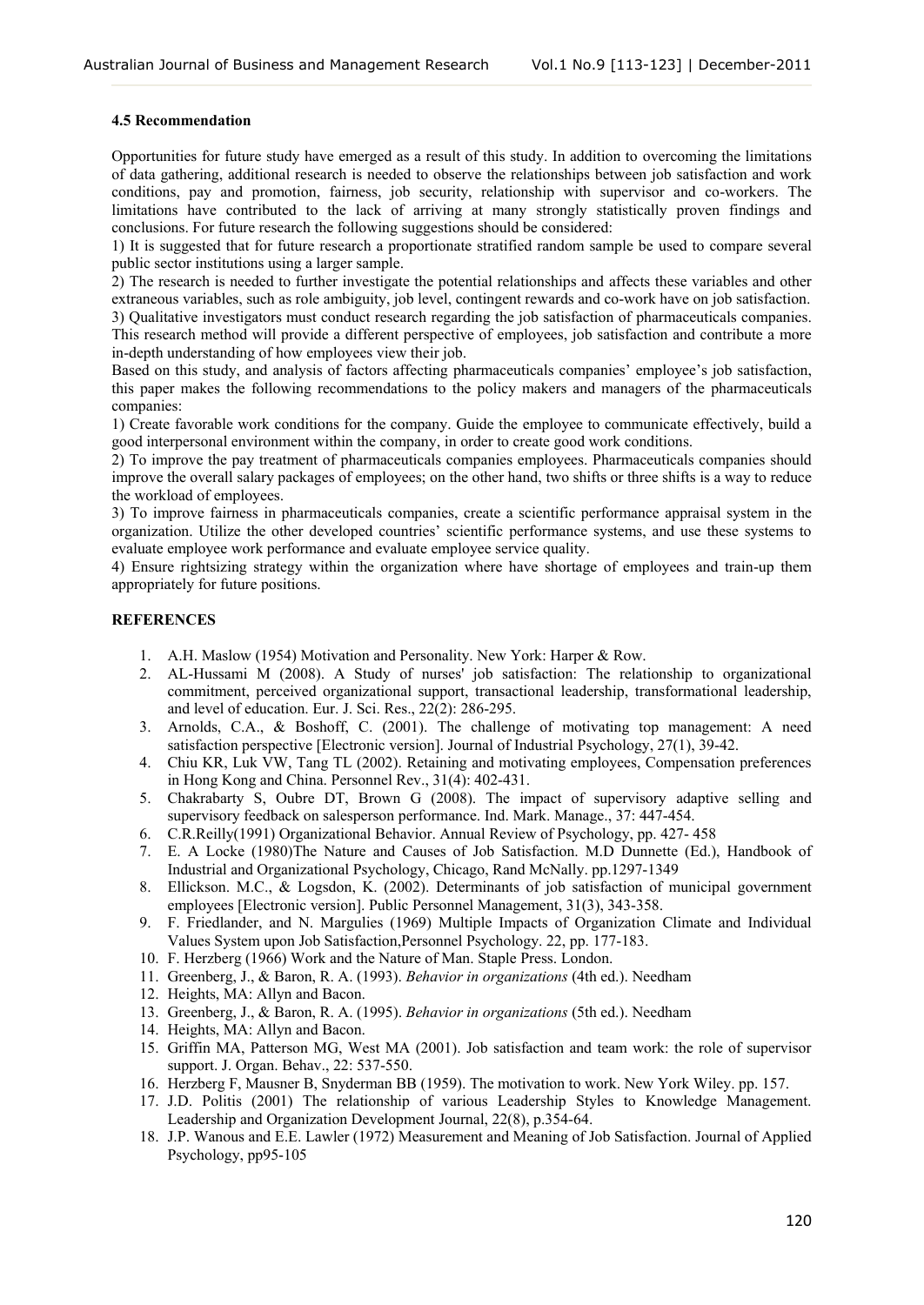### **4.5 Recommendation**

Opportunities for future study have emerged as a result of this study. In addition to overcoming the limitations of data gathering, additional research is needed to observe the relationships between job satisfaction and work conditions, pay and promotion, fairness, job security, relationship with supervisor and co-workers. The limitations have contributed to the lack of arriving at many strongly statistically proven findings and conclusions. For future research the following suggestions should be considered:

1) It is suggested that for future research a proportionate stratified random sample be used to compare several public sector institutions using a larger sample.

2) The research is needed to further investigate the potential relationships and affects these variables and other extraneous variables, such as role ambiguity, job level, contingent rewards and co-work have on job satisfaction.

3) Qualitative investigators must conduct research regarding the job satisfaction of pharmaceuticals companies. This research method will provide a different perspective of employees, job satisfaction and contribute a more in-depth understanding of how employees view their job.

Based on this study, and analysis of factors affecting pharmaceuticals companies' employee's job satisfaction, this paper makes the following recommendations to the policy makers and managers of the pharmaceuticals companies:

1) Create favorable work conditions for the company. Guide the employee to communicate effectively, build a good interpersonal environment within the company, in order to create good work conditions.

2) To improve the pay treatment of pharmaceuticals companies employees. Pharmaceuticals companies should improve the overall salary packages of employees; on the other hand, two shifts or three shifts is a way to reduce the workload of employees.

3) To improve fairness in pharmaceuticals companies, create a scientific performance appraisal system in the organization. Utilize the other developed countries' scientific performance systems, and use these systems to evaluate employee work performance and evaluate employee service quality.

4) Ensure rightsizing strategy within the organization where have shortage of employees and train-up them appropriately for future positions.

# **REFERENCES**

- 1. A.H. Maslow (1954) Motivation and Personality. New York: Harper & Row.
- 2. AL-Hussami M (2008). A Study of nurses' job satisfaction: The relationship to organizational commitment, perceived organizational support, transactional leadership, transformational leadership, and level of education. Eur. J. Sci. Res., 22(2): 286-295.
- 3. Arnolds, C.A., & Boshoff, C. (2001). The challenge of motivating top management: A need satisfaction perspective [Electronic version]. Journal of Industrial Psychology, 27(1), 39-42.
- 4. Chiu KR, Luk VW, Tang TL (2002). Retaining and motivating employees, Compensation preferences in Hong Kong and China. Personnel Rev., 31(4): 402-431.
- 5. Chakrabarty S, Oubre DT, Brown G (2008). The impact of supervisory adaptive selling and supervisory feedback on salesperson performance. Ind. Mark. Manage., 37: 447-454.
- 6. C.R.Reilly(1991) Organizational Behavior. Annual Review of Psychology, pp. 427- 458
- 7. E. A Locke (1980)The Nature and Causes of Job Satisfaction. M.D Dunnette (Ed.), Handbook of Industrial and Organizational Psychology, Chicago, Rand McNally. pp.1297-1349
- 8. Ellickson. M.C., & Logsdon, K. (2002). Determinants of job satisfaction of municipal government employees [Electronic version]. Public Personnel Management, 31(3), 343-358.
- 9. F. Friedlander, and N. Margulies (1969) Multiple Impacts of Organization Climate and Individual Values System upon Job Satisfaction,Personnel Psychology. 22, pp. 177-183.
- 10. F. Herzberg (1966) Work and the Nature of Man. Staple Press. London.
- 11. Greenberg, J., & Baron, R. A. (1993). *Behavior in organizations* (4th ed.). Needham
- 12. Heights, MA: Allyn and Bacon.
- 13. Greenberg, J., & Baron, R. A. (1995). *Behavior in organizations* (5th ed.). Needham
- 14. Heights, MA: Allyn and Bacon.
- 15. Griffin MA, Patterson MG, West MA (2001). Job satisfaction and team work: the role of supervisor support. J. Organ. Behav., 22: 537-550.
- 16. Herzberg F, Mausner B, Snyderman BB (1959). The motivation to work. New York Wiley. pp. 157.
- 17. J.D. Politis (2001) The relationship of various Leadership Styles to Knowledge Management. Leadership and Organization Development Journal, 22(8), p.354-64.
- 18. J.P. Wanous and E.E. Lawler (1972) Measurement and Meaning of Job Satisfaction. Journal of Applied Psychology, pp95-105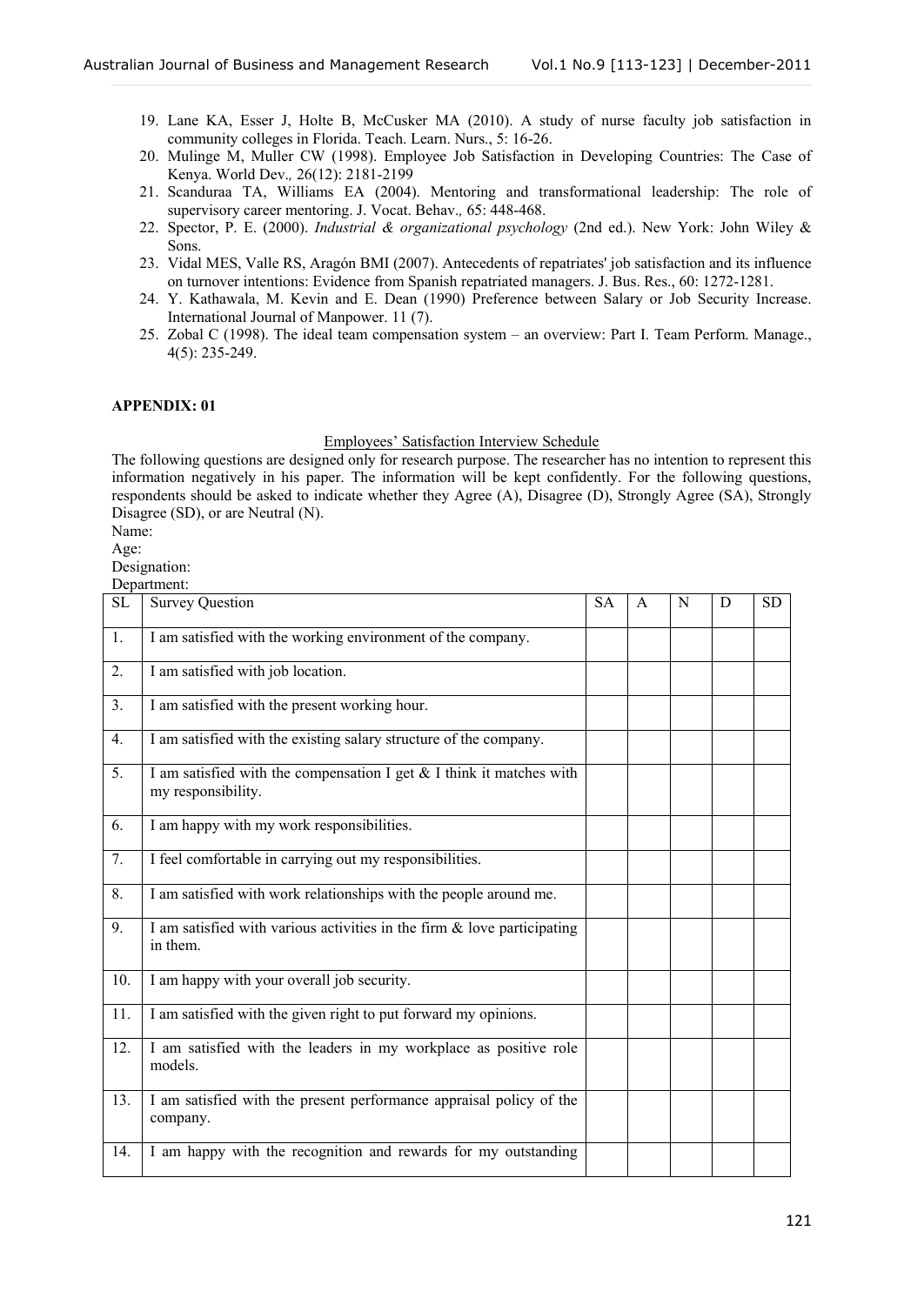- 19. Lane KA, Esser J, Holte B, McCusker MA (2010). A study of nurse faculty job satisfaction in community colleges in Florida. Teach. Learn. Nurs., 5: 16-26.
- 20. Mulinge M, Muller CW (1998). Employee Job Satisfaction in Developing Countries: The Case of Kenya. World Dev.*,* 26(12): 2181-2199
- 21. Scanduraa TA, Williams EA (2004). Mentoring and transformational leadership: The role of supervisory career mentoring. J. Vocat. Behav.*,* 65: 448-468.
- 22. Spector, P. E. (2000). *Industrial & organizational psychology* (2nd ed.). New York: John Wiley & Sons.
- 23. Vidal MES, Valle RS, Aragón BMI (2007). Antecedents of repatriates' job satisfaction and its influence on turnover intentions: Evidence from Spanish repatriated managers. J. Bus. Res., 60: 1272-1281.
- 24. Y. Kathawala, M. Kevin and E. Dean (1990) Preference between Salary or Job Security Increase. International Journal of Manpower. 11 (7).
- 25. Zobal C (1998). The ideal team compensation system an overview: Part I. Team Perform. Manage., 4(5): 235-249.

# **APPENDIX: 01**

### Employees' Satisfaction Interview Schedule

The following questions are designed only for research purpose. The researcher has no intention to represent this information negatively in his paper. The information will be kept confidently. For the following questions, respondents should be asked to indicate whether they Agree (A), Disagree (D), Strongly Agree (SA), Strongly Disagree (SD), or are Neutral (N).

Name:

Age:

Designation:

Department:

| SL  | <b>Survey Question</b>                                                                       | <b>SA</b> | A | N | D | <b>SD</b> |
|-----|----------------------------------------------------------------------------------------------|-----------|---|---|---|-----------|
| 1.  | I am satisfied with the working environment of the company.                                  |           |   |   |   |           |
| 2.  | I am satisfied with job location.                                                            |           |   |   |   |           |
| 3.  | I am satisfied with the present working hour.                                                |           |   |   |   |           |
| 4.  | I am satisfied with the existing salary structure of the company.                            |           |   |   |   |           |
| 5.  | I am satisfied with the compensation I get $&$ I think it matches with<br>my responsibility. |           |   |   |   |           |
| 6.  | I am happy with my work responsibilities.                                                    |           |   |   |   |           |
| 7.  | I feel comfortable in carrying out my responsibilities.                                      |           |   |   |   |           |
| 8.  | I am satisfied with work relationships with the people around me.                            |           |   |   |   |           |
| 9.  | I am satisfied with various activities in the firm $\&$ love participating<br>in them.       |           |   |   |   |           |
| 10. | I am happy with your overall job security.                                                   |           |   |   |   |           |
| 11. | I am satisfied with the given right to put forward my opinions.                              |           |   |   |   |           |
| 12. | I am satisfied with the leaders in my workplace as positive role<br>models.                  |           |   |   |   |           |
| 13. | I am satisfied with the present performance appraisal policy of the<br>company.              |           |   |   |   |           |
| 14. | I am happy with the recognition and rewards for my outstanding                               |           |   |   |   |           |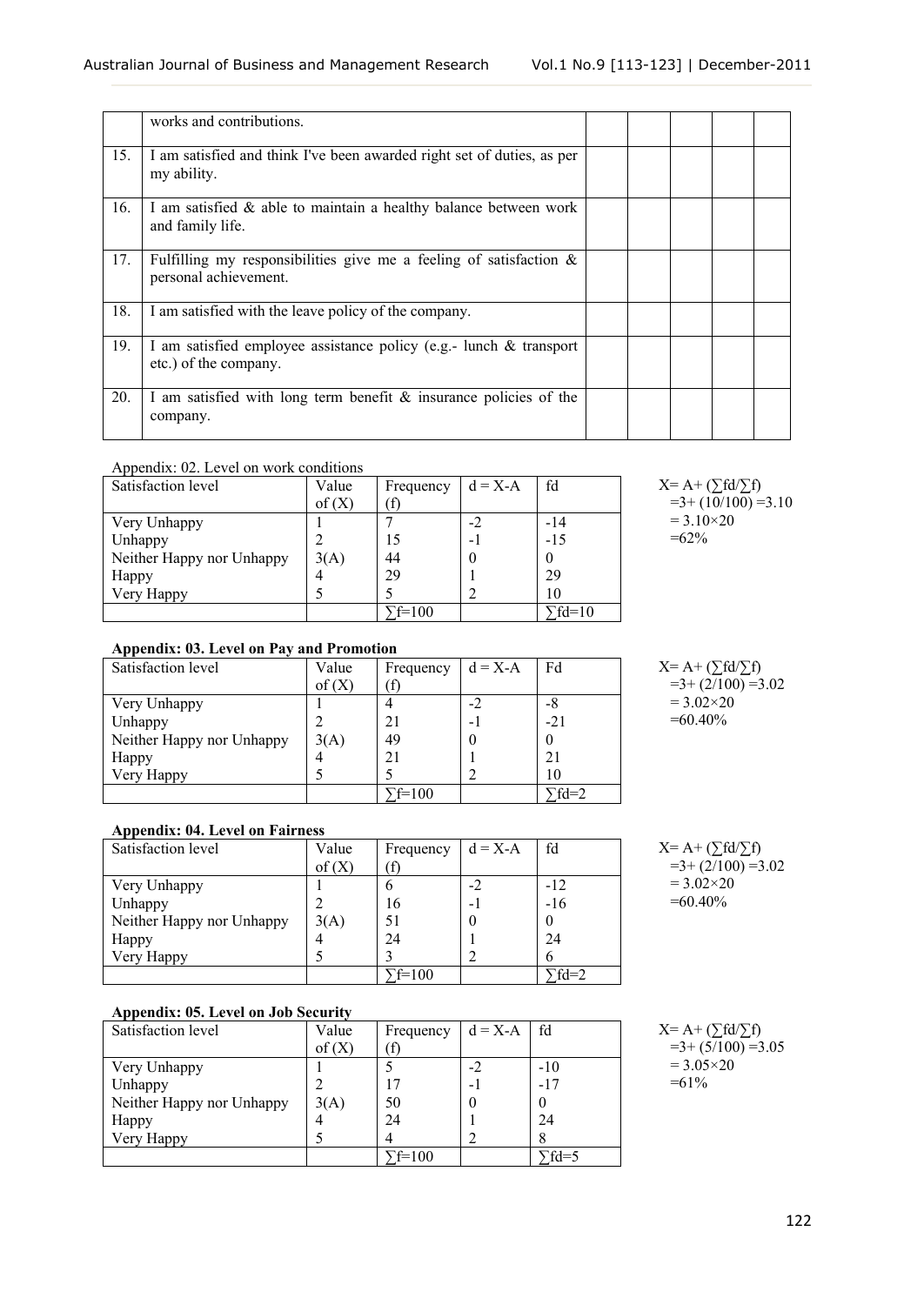|     | works and contributions.                                                                       |  |  |  |
|-----|------------------------------------------------------------------------------------------------|--|--|--|
| 15. | I am satisfied and think I've been awarded right set of duties, as per<br>my ability.          |  |  |  |
| 16. | I am satisfied $\&$ able to maintain a healthy balance between work<br>and family life.        |  |  |  |
| 17. | Fulfilling my responsibilities give me a feeling of satisfaction $\&$<br>personal achievement. |  |  |  |
| 18. | I am satisfied with the leave policy of the company.                                           |  |  |  |
| 19. | I am satisfied employee assistance policy (e.g.- lunch $\&$ transport<br>etc.) of the company. |  |  |  |
| 20. | I am satisfied with long term benefit $\&$ insurance policies of the<br>company.               |  |  |  |

# Appendix: 02. Level on work conditions

| Satisfaction level        | Value | Frequency      | $d = X-A$ | fd             |
|---------------------------|-------|----------------|-----------|----------------|
|                           | of(X) |                |           |                |
| Very Unhappy              |       |                | $-2$      | $-14$          |
| Unhappy                   |       |                | $\sim$ .  | $-15$          |
| Neither Happy nor Unhappy | 3(A)  | 44             |           |                |
| Happy                     |       | 29             |           | 29             |
| Very Happy                |       |                |           | 10             |
|                           |       | $\Gamma$ f=100 |           | $\Gamma$ fd=10 |

| $X = A + (\sum f d / \sum f)$ |
|-------------------------------|
| $=3+(10/100)=3.10$            |
| $= 3.10 \times 20$            |
| $=62\%$                       |

# **Appendix: 03. Level on Pay and Promotion**

| Satisfaction level        | Value | Frequency | $d = X-A$ | Fd     |
|---------------------------|-------|-----------|-----------|--------|
|                           | of(X) |           |           |        |
| Very Unhappy              |       |           | -2        | -8     |
| Unhappy                   |       | 21        | - 1       | $-21$  |
| Neither Happy nor Unhappy | 3(A)  | 49        |           |        |
| Happy                     |       |           |           | 21     |
| Very Happy                |       |           |           | 10     |
|                           |       | $f=100$   |           | $fd=2$ |

| $X = A + (\sum f d / \sum f)$ |
|-------------------------------|
| $=3+(2/100) = 3.02$           |
| $= 3.02 \times 20$            |
| $=60.40\%$                    |

# **Appendix: 04. Level on Fairness**

| $1 + 1$                   |       |           |           |        |
|---------------------------|-------|-----------|-----------|--------|
| Satisfaction level        | Value | Frequency | $d = X-A$ | fd     |
|                           | of(X) |           |           |        |
| Very Unhappy              |       | n         | $-2$      | $-12$  |
| Unhappy                   |       | 16        | н.        | $-16$  |
| Neither Happy nor Unhappy | 3(A)  | 51        |           |        |
| Happy                     | 4     | 24        |           | 24     |
| Very Happy                |       |           |           |        |
|                           |       | $f=100$   |           | $fd=2$ |

# **Appendix: 05. Level on Job Security**

| Satisfaction level        | Value | Frequency | $d = X-A$ fd   |                     |
|---------------------------|-------|-----------|----------------|---------------------|
|                           | of(X) |           |                |                     |
| Very Unhappy              |       |           | -2             | $-10$               |
| Unhappy                   |       |           | $\blacksquare$ | $-17$               |
| Neither Happy nor Unhappy | 3(A)  | 50        |                |                     |
| Happy                     |       | 24        |                | 24                  |
| Very Happy                |       | Δ         |                |                     |
|                           |       | $F=100$   |                | $\overline{fd} = 5$ |

 $=3+(2/100) = 3.02$  $= 3.02 \times 20$  $=60.40\%$ 

 $X = A + (\sum f d / \sum f)$ 

 $X= A + (\sum f d / \sum f)$  $=3+(5/100) = 3.05$  $= 3.05 \times 20$  $=61\%$